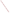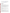# **Technical Factsheet on: 1,2-DICHLOROETHYLENE**

[List of Contaminants](http://www.epa.gov/safewater/hfacts.html) 

 As part of the Drinking Water and Health pages, this fact sheet is part of a larger publication: **National Primary Drinking Water Regulations** 

# **Drinking Water Standards**

 MCLG: cis-0.07; trans-0.1 mg/L MCL: cis-0.07; trans-0.1 mg/L HAL(child)- 1 day: cis-4; trans-20 Longer-term: cis-3; trans-2

# **Health Effects Summary**

 Acute: EPA has found cis- and trans- 1,2-dichloroethylene to potentially cause central nervous system depression from short-term exposures at levels above the MCL.

 Short-term exposures in drinking water which are considered "safe" for a 10-kg (22 lb.) child consuming 1 liter of water per day: for the cis form- a one-day exposure of 4 mg/L or upto a 7-year exposure to 3 mg/L. For the trans isomer: a one-day exposure of 20 mg/L or upto a 7-year exposure to 2 mg/L.

 damage from long-term exposure at levels above the MCL. The trans isomer is approximately twice as Chronic: Both cis- and trans-1,2-DCE have the potential to cause liver, circulatory and nervous system potent as the cis- isomer in its ability to depress the central nervous system.

 Cancer: There is inadequate evidence to state whether or not either cis- or trans-1,2-DCE have the potential to cause liver cancer from a lifetime exposure in drinking water.

### **Usage Patterns**

 Both the cis and trans forms - usually as a mixture - are used as a solvent for waxes, resins, and acetylcellulose; in the extraction of rubber; as a refrigerant; in the manufacture of pharmaceuticals and artificial pearls and in the extraction of oils and fats from fish and meat; as a chemical intermediate for making chlorinated compounds.

No data were available on recent production levels in the United States.

### **Release Patterns**

 on releases during manufacture and handling are not available. Releases to the environment are expected to be limited to manufacturing plants in the Gulf Region of the United States. Since cis-and trans-1,2-DCE are not listed chemicals in the Toxics Release Inventory, data

Trans-1,2-dichloroethylene may be released to the environment in air emissions and wastewater during its production and use as a solvent and extractant, in organic synthesis, and in the manufacture of perfumes, lacquers, and thermoplastics.

An assessment of the sources of trans-1,2-dichloroethylene is complicated by the fact that it is a priority pollutant while the cis isomer is not and the standard EPA methods of analysis do not allow the isomers to differentiated. This has resulted in monitoring reports erroneously listing the trans isomer when the cis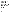and claims that it frequently finds the cis isomer and, if concentrations are high, they occasionally find traces of the trans isomer. isomer is present. The Michigan Department of Health has the capability of distinguishing these isomers

#### **Environmental Fate**

 or sediment one is likely to find 1,2-dichloroethylenes that are formed as breakdown products from the 1,1,2,2-tetrachloroethane. Both the cis- and trans-1,2-dichloroethylenes may be released to the environment in air emissions and wastewater during its production and use. Under anaerobic conditions that may exist in landfills, aquifers, reductive dehalogenation of common industrial solvents trichloroethylene, tetrachloroethylene, and

 and the analytical procedures generally used do not distinguish between isomers. The cis-1,2-dichloroethylene is apparently the more common isomer found although it is mistakenly reported as the trans isomer. The trans-isomer, being a priority pollutant, is more commonly analyzed for

 very slow biodegradation should occur. If released into water, 1,2-dichloroethylenes will be lost mainly If 1,2-dichloroethylenes are released on soil, it should evaporate and leach into the groundwater where through volatilization.

In the atmosphere, 1,2-dichloroethylenes will be lost by reaction with photochemically produced hydroxyl radicals and scavenged by rain. Because it is relatively long-lived in the atmosphere, considerable dispersal from source areas should occur.

Biodegradation, adsorption to sediment, and bioconcentration in aquatic organisms should not be significant.

#### **Chemical/Physical Properties**

CAS Number: cis- 156-59-2 trans- 156-60-5

Color/ Form/Odor: Colorless, odorless liquid<br>M.P.: cis- -80 C; trans- -50 C

M.P.: cis- -80 C; trans- -50 C

B.P.: cis- 60.3 C; trans- 48 C

Vapor Pressure: cis- 273 mm Hg at 30 C; trans- 395 mm Hg at 30 C

Octanol/Water Partition (Kow): Log Kow = cis- 1.86; trans- 2.06

Density/Spec. Grav.: cis- 1.26 at 20 C trans- 1.28 at 20 C

Solubility: Soluble in water, cis- 3.5 g/L of water, trans- 6.3 g/L of water at 25 C

 Soil sorption coefficient: Kocs of cis and trans isomers are estimated at 36 to 49; high to very high mobility in soil

Odor/Taste Thresholds: N/A

Odor/Taste Thresholds: N/A<br>Henry's Law Coefficient: cis- 0.00337 atm-cu m/mole; trans- 0.00672 atm-cu m/mole